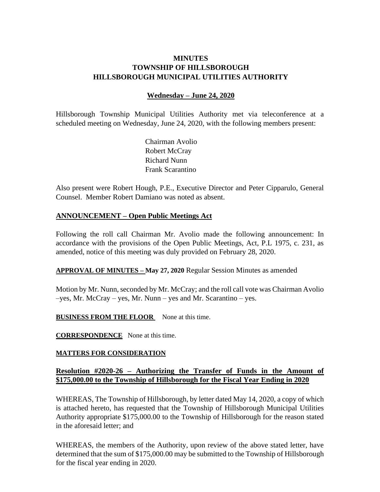# **MINUTES TOWNSHIP OF HILLSBOROUGH HILLSBOROUGH MUNICIPAL UTILITIES AUTHORITY**

### **Wednesday – June 24, 2020**

Hillsborough Township Municipal Utilities Authority met via teleconference at a scheduled meeting on Wednesday, June 24, 2020, with the following members present:

> Chairman Avolio Robert McCray Richard Nunn Frank Scarantino

Also present were Robert Hough, P.E., Executive Director and Peter Cipparulo, General Counsel. Member Robert Damiano was noted as absent.

### **ANNOUNCEMENT – Open Public Meetings Act**

Following the roll call Chairman Mr. Avolio made the following announcement: In accordance with the provisions of the Open Public Meetings, Act, P.L 1975, c. 231, as amended, notice of this meeting was duly provided on February 28, 2020.

**APPROVAL OF MINUTES – May 27, 2020** Regular Session Minutes as amended

Motion by Mr. Nunn, seconded by Mr. McCray; and the roll call vote was Chairman Avolio –yes, Mr. McCray – yes, Mr. Nunn – yes and Mr. Scarantino – yes.

**BUSINESS FROM THE FLOOR** None at this time.

**CORRESPONDENCE** None at this time.

#### **MATTERS FOR CONSIDERATION**

### **Resolution #2020-26 – Authorizing the Transfer of Funds in the Amount of \$175,000.00 to the Township of Hillsborough for the Fiscal Year Ending in 2020**

WHEREAS, The Township of Hillsborough, by letter dated May 14, 2020, a copy of which is attached hereto, has requested that the Township of Hillsborough Municipal Utilities Authority appropriate \$175,000.00 to the Township of Hillsborough for the reason stated in the aforesaid letter; and

WHEREAS, the members of the Authority, upon review of the above stated letter, have determined that the sum of \$175,000.00 may be submitted to the Township of Hillsborough for the fiscal year ending in 2020.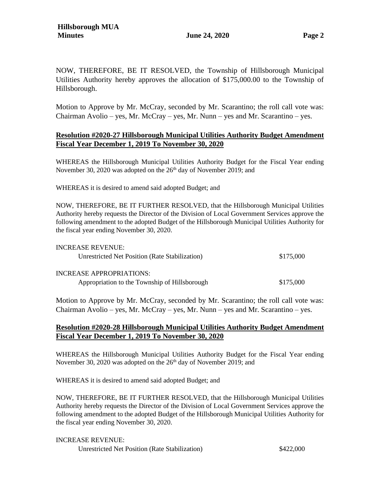NOW, THEREFORE, BE IT RESOLVED, the Township of Hillsborough Municipal Utilities Authority hereby approves the allocation of \$175,000.00 to the Township of Hillsborough.

Motion to Approve by Mr. McCray, seconded by Mr. Scarantino; the roll call vote was: Chairman Avolio – yes, Mr. McCray – yes, Mr. Nunn – yes and Mr. Scarantino – yes.

### **Resolution #2020-27 Hillsborough Municipal Utilities Authority Budget Amendment Fiscal Year December 1, 2019 To November 30, 2020**

WHEREAS the Hillsborough Municipal Utilities Authority Budget for the Fiscal Year ending November 30, 2020 was adopted on the  $26<sup>th</sup>$  day of November 2019; and

WHEREAS it is desired to amend said adopted Budget; and

NOW, THEREFORE, BE IT FURTHER RESOLVED, that the Hillsborough Municipal Utilities Authority hereby requests the Director of the Division of Local Government Services approve the following amendment to the adopted Budget of the Hillsborough Municipal Utilities Authority for the fiscal year ending November 30, 2020.

| <b>INCREASE REVENUE:</b>                       |           |
|------------------------------------------------|-----------|
| Unrestricted Net Position (Rate Stabilization) | \$175,000 |
|                                                |           |
| INCREASE APPROPRIATIONS:                       |           |
| Appropriation to the Township of Hillsborough  | \$175,000 |
|                                                |           |

Motion to Approve by Mr. McCray, seconded by Mr. Scarantino; the roll call vote was: Chairman Avolio – yes, Mr. McCray – yes, Mr. Nunn – yes and Mr. Scarantino – yes.

### **Resolution #2020-28 Hillsborough Municipal Utilities Authority Budget Amendment Fiscal Year December 1, 2019 To November 30, 2020**

WHEREAS the Hillsborough Municipal Utilities Authority Budget for the Fiscal Year ending November 30, 2020 was adopted on the 26<sup>th</sup> day of November 2019; and

WHEREAS it is desired to amend said adopted Budget; and

NOW, THEREFORE, BE IT FURTHER RESOLVED, that the Hillsborough Municipal Utilities Authority hereby requests the Director of the Division of Local Government Services approve the following amendment to the adopted Budget of the Hillsborough Municipal Utilities Authority for the fiscal year ending November 30, 2020.

INCREASE REVENUE:

Unrestricted Net Position (Rate Stabilization) \$422,000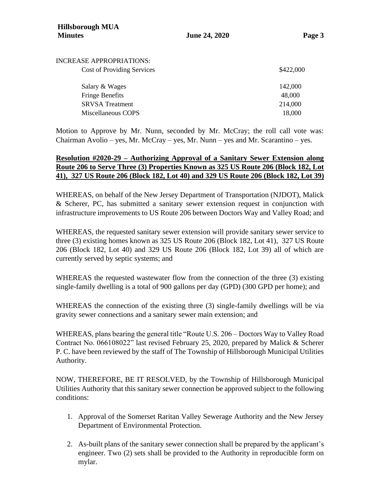| INCREASE APPROPRIATIONS:          |           |
|-----------------------------------|-----------|
| <b>Cost of Providing Services</b> | \$422,000 |

| Salary & Wages         | 142,000 |
|------------------------|---------|
| <b>Fringe Benefits</b> | 48,000  |
| <b>SRVSA</b> Treatment | 214,000 |
| Miscellaneous COPS     | 18,000  |

Motion to Approve by Mr. Nunn, seconded by Mr. McCray; the roll call vote was: Chairman Avolio – yes, Mr. McCray – yes, Mr. Nunn – yes and Mr. Scarantino – yes.

### **Resolution #2020-29 – Authorizing Approval of a Sanitary Sewer Extension along Route 206 to Serve Three (3) Properties Known as 325 US Route 206 (Block 182, Lot 41), 327 US Route 206 (Block 182, Lot 40) and 329 US Route 206 (Block 182, Lot 39)**

WHEREAS, on behalf of the New Jersey Department of Transportation (NJDOT), Malick & Scherer, PC, has submitted a sanitary sewer extension request in conjunction with infrastructure improvements to US Route 206 between Doctors Way and Valley Road; and

WHEREAS, the requested sanitary sewer extension will provide sanitary sewer service to three (3) existing homes known as 325 US Route 206 (Block 182, Lot 41), 327 US Route 206 (Block 182, Lot 40) and 329 US Route 206 (Block 182, Lot 39) all of which are currently served by septic systems; and

WHEREAS the requested wastewater flow from the connection of the three (3) existing single-family dwelling is a total of 900 gallons per day (GPD) (300 GPD per home); and

WHEREAS the connection of the existing three (3) single-family dwellings will be via gravity sewer connections and a sanitary sewer main extension; and

WHEREAS, plans bearing the general title "Route U.S. 206 – Doctors Way to Valley Road Contract No. 066108022" last revised February 25, 2020, prepared by Malick & Scherer P. C. have been reviewed by the staff of The Township of Hillsborough Municipal Utilities Authority.

NOW, THEREFORE, BE IT RESOLVED, by the Township of Hillsborough Municipal Utilities Authority that this sanitary sewer connection be approved subject to the following conditions:

- 1. Approval of the Somerset Raritan Valley Sewerage Authority and the New Jersey Department of Environmental Protection.
- 2. As-built plans of the sanitary sewer connection shall be prepared by the applicant's engineer. Two (2) sets shall be provided to the Authority in reproducible form on mylar.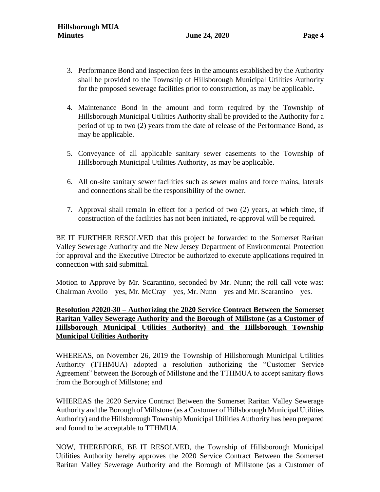- 
- 3. Performance Bond and inspection fees in the amounts established by the Authority shall be provided to the Township of Hillsborough Municipal Utilities Authority for the proposed sewerage facilities prior to construction, as may be applicable.
- 4. Maintenance Bond in the amount and form required by the Township of Hillsborough Municipal Utilities Authority shall be provided to the Authority for a period of up to two (2) years from the date of release of the Performance Bond, as may be applicable.
- 5. Conveyance of all applicable sanitary sewer easements to the Township of Hillsborough Municipal Utilities Authority, as may be applicable.
- 6. All on-site sanitary sewer facilities such as sewer mains and force mains, laterals and connections shall be the responsibility of the owner.
- 7. Approval shall remain in effect for a period of two (2) years, at which time, if construction of the facilities has not been initiated, re-approval will be required.

BE IT FURTHER RESOLVED that this project be forwarded to the Somerset Raritan Valley Sewerage Authority and the New Jersey Department of Environmental Protection for approval and the Executive Director be authorized to execute applications required in connection with said submittal.

Motion to Approve by Mr. Scarantino, seconded by Mr. Nunn; the roll call vote was: Chairman Avolio – yes, Mr. McCray – yes, Mr. Nunn – yes and Mr. Scarantino – yes.

# **Resolution #2020-30 – Authorizing the 2020 Service Contract Between the Somerset Raritan Valley Sewerage Authority and the Borough of Millstone (as a Customer of Hillsborough Municipal Utilities Authority) and the Hillsborough Township Municipal Utilities Authority**

WHEREAS, on November 26, 2019 the Township of Hillsborough Municipal Utilities Authority (TTHMUA) adopted a resolution authorizing the "Customer Service Agreement" between the Borough of Millstone and the TTHMUA to accept sanitary flows from the Borough of Millstone; and

WHEREAS the 2020 Service Contract Between the Somerset Raritan Valley Sewerage Authority and the Borough of Millstone (as a Customer of Hillsborough Municipal Utilities Authority) and the Hillsborough Township Municipal Utilities Authority has been prepared and found to be acceptable to TTHMUA.

NOW, THEREFORE, BE IT RESOLVED, the Township of Hillsborough Municipal Utilities Authority hereby approves the 2020 Service Contract Between the Somerset Raritan Valley Sewerage Authority and the Borough of Millstone (as a Customer of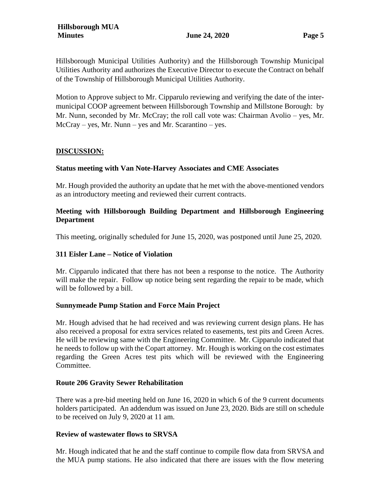Hillsborough Municipal Utilities Authority) and the Hillsborough Township Municipal Utilities Authority and authorizes the Executive Director to execute the Contract on behalf of the Township of Hillsborough Municipal Utilities Authority.

Motion to Approve subject to Mr. Cipparulo reviewing and verifying the date of the intermunicipal COOP agreement between Hillsborough Township and Millstone Borough: by Mr. Nunn, seconded by Mr. McCray; the roll call vote was: Chairman Avolio – yes, Mr.  $McCray - yes$ , Mr. Nunn – yes and Mr. Scarantino – yes.

# **DISCUSSION:**

# **Status meeting with Van Note-Harvey Associates and CME Associates**

Mr. Hough provided the authority an update that he met with the above-mentioned vendors as an introductory meeting and reviewed their current contracts.

# **Meeting with Hillsborough Building Department and Hillsborough Engineering Department**

This meeting, originally scheduled for June 15, 2020, was postponed until June 25, 2020.

# **311 Eisler Lane – Notice of Violation**

Mr. Cipparulo indicated that there has not been a response to the notice. The Authority will make the repair. Follow up notice being sent regarding the repair to be made, which will be followed by a bill.

# **Sunnymeade Pump Station and Force Main Project**

Mr. Hough advised that he had received and was reviewing current design plans. He has also received a proposal for extra services related to easements, test pits and Green Acres. He will be reviewing same with the Engineering Committee. Mr. Cipparulo indicated that he needs to follow up with the Copart attorney. Mr. Hough is working on the cost estimates regarding the Green Acres test pits which will be reviewed with the Engineering Committee.

### **Route 206 Gravity Sewer Rehabilitation**

There was a pre-bid meeting held on June 16, 2020 in which 6 of the 9 current documents holders participated. An addendum was issued on June 23, 2020. Bids are still on schedule to be received on July 9, 2020 at 11 am.

### **Review of wastewater flows to SRVSA**

Mr. Hough indicated that he and the staff continue to compile flow data from SRVSA and the MUA pump stations. He also indicated that there are issues with the flow metering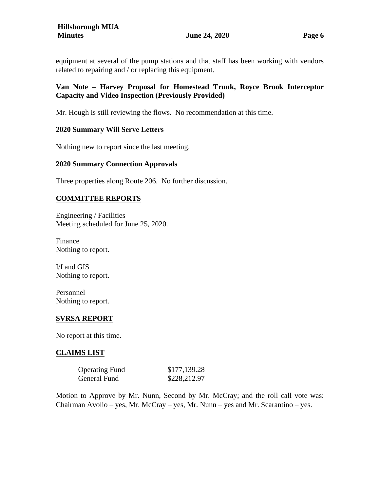equipment at several of the pump stations and that staff has been working with vendors related to repairing and / or replacing this equipment.

### **Van Note – Harvey Proposal for Homestead Trunk, Royce Brook Interceptor Capacity and Video Inspection (Previously Provided)**

Mr. Hough is still reviewing the flows. No recommendation at this time.

### **2020 Summary Will Serve Letters**

Nothing new to report since the last meeting.

### **2020 Summary Connection Approvals**

Three properties along Route 206. No further discussion.

### **COMMITTEE REPORTS**

Engineering / Facilities Meeting scheduled for June 25, 2020.

Finance Nothing to report.

I/I and GIS Nothing to report.

Personnel Nothing to report.

### **SVRSA REPORT**

No report at this time.

### **CLAIMS LIST**

| <b>Operating Fund</b> | \$177,139.28 |
|-----------------------|--------------|
| General Fund          | \$228,212.97 |

Motion to Approve by Mr. Nunn, Second by Mr. McCray; and the roll call vote was: Chairman Avolio – yes, Mr. McCray – yes, Mr. Nunn – yes and Mr. Scarantino – yes.